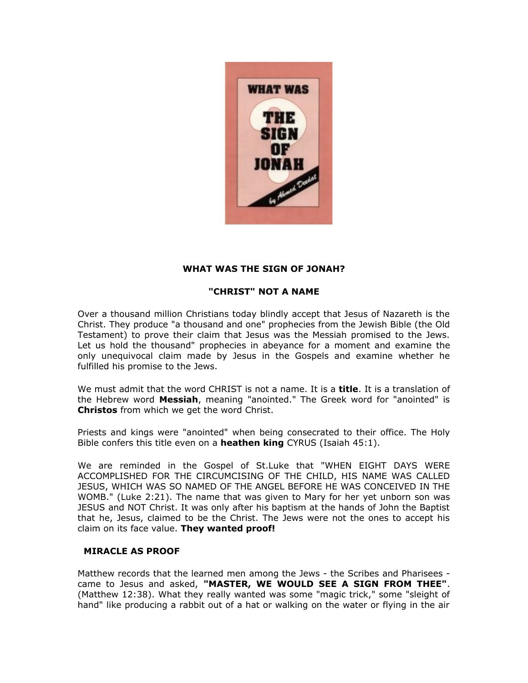

## **WHAT WAS THE SIGN OF JONAH?**

# **"CHRIST" NOT A NAME**

Over a thousand million Christians today blindly accept that Jesus of Nazareth is the Christ. They produce "a thousand and one" prophecies from the Jewish Bible (the Old Testament) to prove their claim that Jesus was the Messiah promised to the Jews. Let us hold the thousand" prophecies in abeyance for a moment and examine the only unequivocal claim made by Jesus in the Gospels and examine whether he fulfilled his promise to the Jews.

We must admit that the word CHRIST is not a name. It is a **title**. It is a translation of the Hebrew word **Messiah**, meaning "anointed." The Greek word for "anointed" is **Christos** from which we get the word Christ.

Priests and kings were "anointed" when being consecrated to their office. The Holy Bible confers this title even on a **heathen king** CYRUS (Isaiah 45:1).

We are reminded in the Gospel of St.Luke that "WHEN EIGHT DAYS WERE ACCOMPLISHED FOR THE CIRCUMCISING OF THE CHILD, HIS NAME WAS CALLED JESUS, WHICH WAS SO NAMED OF THE ANGEL BEFORE HE WAS CONCEIVED IN THE WOMB." (Luke 2:21). The name that was given to Mary for her yet unborn son was JESUS and NOT Christ. It was only after his baptism at the hands of John the Baptist that he, Jesus, claimed to be the Christ. The Jews were not the ones to accept his claim on its face value. **They wanted proof!**

## **MIRACLE AS PROOF**

Matthew records that the learned men among the Jews - the Scribes and Pharisees came to Jesus and asked, **"MASTER, WE WOULD SEE A SIGN FROM THEE"**. (Matthew 12:38). What they really wanted was some "magic trick," some "sleight of hand" like producing a rabbit out of a hat or walking on the water or flying in the air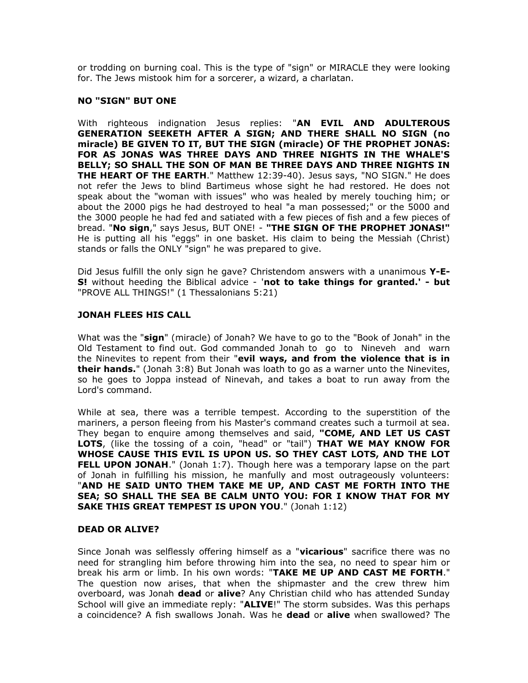or trodding on burning coal. This is the type of "sign" or MIRACLE they were looking for. The Jews mistook him for a sorcerer, a wizard, a charlatan.

#### **NO "SIGN" BUT ONE**

With righteous indignation Jesus replies: "**AN EVIL AND ADULTEROUS GENERATION SEEKETH AFTER A SIGN; AND THERE SHALL NO SIGN (no miracle) BE GIVEN TO IT, BUT THE SIGN (miracle) OF THE PROPHET JONAS: FOR AS JONAS WAS THREE DAYS AND THREE NIGHTS IN THE WHALE'S BELLY; SO SHALL THE SON OF MAN BE THREE DAYS AND THREE NIGHTS IN THE HEART OF THE EARTH**." Matthew 12:39-40). Jesus says, "NO SIGN." He does not refer the Jews to blind Bartimeus whose sight he had restored. He does not speak about the "woman with issues" who was healed by merely touching him; or about the 2000 pigs he had destroyed to heal "a man possessed;" or the 5000 and the 3000 people he had fed and satiated with a few pieces of fish and a few pieces of bread. "**No sign**," says Jesus, BUT ONE! - **"THE SIGN OF THE PROPHET JONAS!"** He is putting all his "eggs" in one basket. His claim to being the Messiah (Christ) stands or falls the ONLY "sign" he was prepared to give.

Did Jesus fulfill the only sign he gave? Christendom answers with a unanimous **Y-E-S!** without heeding the Biblical advice - '**not to take things for granted.' - but** "PROVE ALL THINGS!" (1 Thessalonians 5:21)

#### **JONAH FLEES HIS CALL**

What was the "**sign**" (miracle) of Jonah? We have to go to the "Book of Jonah" in the Old Testament to find out. God commanded Jonah to go to Nineveh and warn the Ninevites to repent from their "**evil ways, and from the violence that is in their hands.**" (Jonah 3:8) But Jonah was loath to go as a warner unto the Ninevites, so he goes to Joppa instead of Ninevah, and takes a boat to run away from the Lord's command.

While at sea, there was a terrible tempest. According to the superstition of the mariners, a person fleeing from his Master's command creates such a turmoil at sea. They began to enquire among themselves and said, **"COME, AND LET US CAST LOTS**, (like the tossing of a coin, "head" or "tail") **THAT WE MAY KNOW FOR WHOSE CAUSE THIS EVIL IS UPON US. SO THEY CAST LOTS, AND THE LOT FELL UPON JONAH**." (Jonah 1:7). Though here was a temporary lapse on the part of Jonah in fulfilling his mission, he manfully and most outrageously volunteers: "**AND HE SAID UNTO THEM TAKE ME UP, AND CAST ME FORTH INTO THE SEA; SO SHALL THE SEA BE CALM UNTO YOU: FOR I KNOW THAT FOR MY SAKE THIS GREAT TEMPEST IS UPON YOU**." (Jonah 1:12)

#### **DEAD OR ALIVE?**

Since Jonah was selflessly offering himself as a "**vicarious**" sacrifice there was no need for strangling him before throwing him into the sea, no need to spear him or break his arm or limb. In his own words: "**TAKE ME UP AND CAST ME FORTH**." The question now arises, that when the shipmaster and the crew threw him overboard, was Jonah **dead** or **alive**? Any Christian child who has attended Sunday School will give an immediate reply: "**ALIVE**!" The storm subsides. Was this perhaps a coincidence? A fish swallows Jonah. Was he **dead** or **alive** when swallowed? The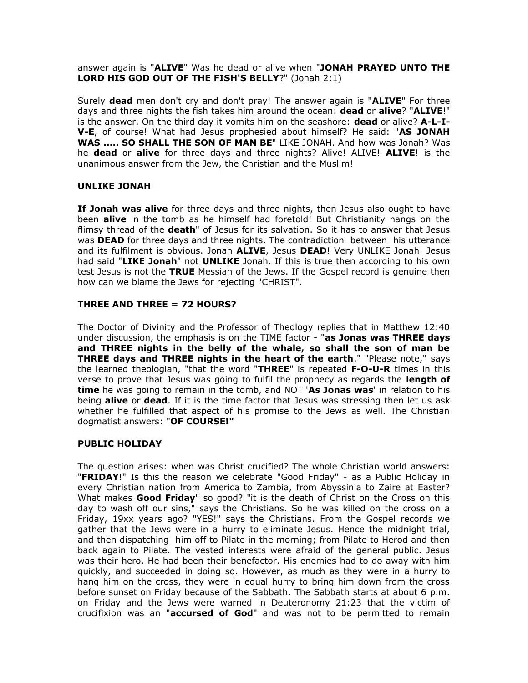## answer again is "**ALIVE**" Was he dead or alive when "**JONAH PRAYED UNTO THE LORD HIS GOD OUT OF THE FISH'S BELLY**?" (Jonah 2:1)

Surely **dead** men don't cry and don't pray! The answer again is "**ALIVE**" For three days and three nights the fish takes him around the ocean: **dead** or **alive**? "**ALIVE**!" is the answer. On the third day it vomits him on the seashore: **dead** or alive? **A-L-I-V-E**, of course! What had Jesus prophesied about himself? He said: "**AS JONAH WAS ..... SO SHALL THE SON OF MAN BE**" LIKE JONAH. And how was Jonah? Was he **dead** or **alive** for three days and three nights? Alive! ALIVE! **ALIVE**! is the unanimous answer from the Jew, the Christian and the Muslim!

## **UNLIKE JONAH**

**If Jonah was alive** for three days and three nights, then Jesus also ought to have been **alive** in the tomb as he himself had foretold! But Christianity hangs on the flimsy thread of the **death**" of Jesus for its salvation. So it has to answer that Jesus was **DEAD** for three days and three nights. The contradiction between his utterance and its fulfilment is obvious. Jonah **ALIVE**, Jesus **DEAD**! Very UNLIKE Jonah! Jesus had said "**LIKE Jonah**" not **UNLIKE** Jonah. If this is true then according to his own test Jesus is not the **TRUE** Messiah of the Jews. If the Gospel record is genuine then how can we blame the Jews for rejecting "CHRIST".

#### **THREE AND THREE = 72 HOURS?**

The Doctor of Divinity and the Professor of Theology replies that in Matthew 12:40 under discussion, the emphasis is on the TIME factor - "**as Jonas was THREE days and THREE nights in the belly of the whale, so shall the son of man be THREE days and THREE nights in the heart of the earth**." "Please note," says the learned theologian, "that the word "**THREE**" is repeated **F-O-U-R** times in this verse to prove that Jesus was going to fulfil the prophecy as regards the **length of time** he was going to remain in the tomb, and NOT '**As Jonas was**' in relation to his being **alive** or **dead**. If it is the time factor that Jesus was stressing then let us ask whether he fulfilled that aspect of his promise to the Jews as well. The Christian dogmatist answers: "**OF COURSE!"**

## **PUBLIC HOLIDAY**

The question arises: when was Christ crucified? The whole Christian world answers: "**FRIDAY**!" Is this the reason we celebrate "Good Friday" - as a Public Holiday in every Christian nation from America to Zambia, from Abyssinia to Zaire at Easter? What makes **Good Friday**" so good? "it is the death of Christ on the Cross on this day to wash off our sins," says the Christians. So he was killed on the cross on a Friday, 19xx years ago? "YES!" says the Christians. From the Gospel records we gather that the Jews were in a hurry to eliminate Jesus. Hence the midnight trial, and then dispatching him off to Pilate in the morning; from Pilate to Herod and then back again to Pilate. The vested interests were afraid of the general public. Jesus was their hero. He had been their benefactor. His enemies had to do away with him quickly, and succeeded in doing so. However, as much as they were in a hurry to hang him on the cross, they were in equal hurry to bring him down from the cross before sunset on Friday because of the Sabbath. The Sabbath starts at about 6 p.m. on Friday and the Jews were warned in Deuteronomy 21:23 that the victim of crucifixion was an "**accursed of God**" and was not to be permitted to remain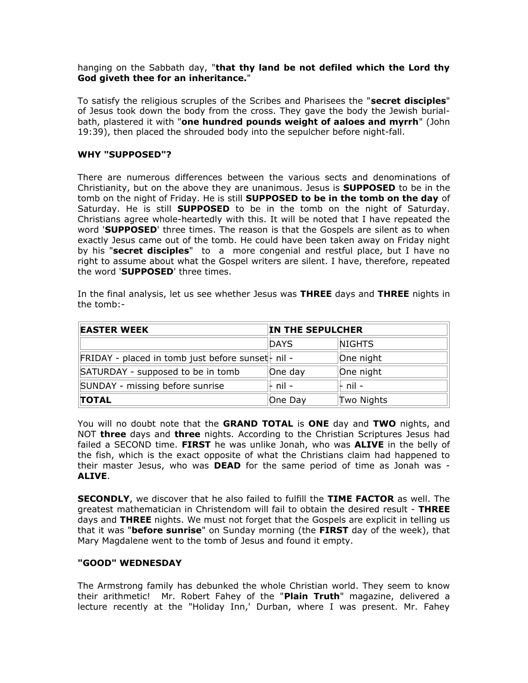hanging on the Sabbath day, "**that thy land be not defiled which the Lord thy God giveth thee for an inheritance.**"

To satisfy the religious scruples of the Scribes and Pharisees the "**secret disciples**" of Jesus took down the body from the cross. They gave the body the Jewish burialbath, plastered it with "**one hundred pounds weight of aaloes and myrrh**" (John 19:39), then placed the shrouded body into the sepulcher before night-fall.

## **WHY "SUPPOSED"?**

There are numerous differences between the various sects and denominations of Christianity, but on the above they are unanimous. Jesus is **SUPPOSED** to be in the tomb on the night of Friday. He is still **SUPPOSED to be in the tomb on the day** of Saturday. He is still **SUPPOSED** to be in the tomb on the night of Saturday. Christians agree whole-heartedly with this. It will be noted that I have repeated the word '**SUPPOSED**' three times. The reason is that the Gospels are silent as to when exactly Jesus came out of the tomb. He could have been taken away on Friday night by his "**secret disciples**" to a more congenial and restful place, but I have no right to assume about what the Gospel writers are silent. I have, therefore, repeated the word '**SUPPOSED**' three times.

In the final analysis, let us see whether Jesus was **THREE** days and **THREE** nights in the tomb:-

| <b>EASTER WEEK</b>                                 | IN THE SEPULCHER |            |
|----------------------------------------------------|------------------|------------|
|                                                    | <b>DAYS</b>      | NIGHTS     |
| FRIDAY - placed in tomb just before sunset - nil - |                  | One night  |
| SATURDAY - supposed to be in tomb                  | One day          | One night  |
| SUNDAY - missing before sunrise                    | $-$ nil $-$      | ⊩ nil -    |
| <b>TOTAL</b>                                       | One Day          | Two Nights |

You will no doubt note that the **GRAND TOTAL** is **ONE** day and **TWO** nights, and NOT **three** days and **three** nights. According to the Christian Scriptures Jesus had failed a SECOND time. **FIRST** he was unlike Jonah, who was **ALIVE** in the belly of the fish, which is the exact opposite of what the Christians claim had happened to their master Jesus, who was **DEAD** for the same period of time as Jonah was - **ALIVE**.

**SECONDLY**, we discover that he also failed to fulfill the **TIME FACTOR** as well. The greatest mathematician in Christendom will fail to obtain the desired result - **THREE** days and **THREE** nights. We must not forget that the Gospels are explicit in telling us that it was "**before sunrise**" on Sunday morning (the **FIRST** day of the week), that Mary Magdalene went to the tomb of Jesus and found it empty.

#### **"GOOD" WEDNESDAY**

The Armstrong family has debunked the whole Christian world. They seem to know their arithmetic! Mr. Robert Fahey of the "**Plain Truth**" magazine, delivered a lecture recently at the "Holiday Inn,' Durban, where I was present. Mr. Fahey